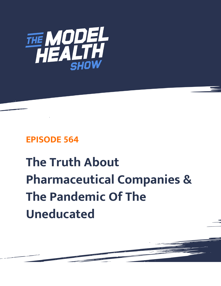

## **EPISODE 564**

## **The Truth About Pharmaceutical Companies & The Pandemic Of The Uneducated**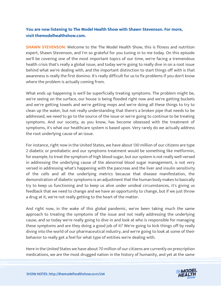## **You are now listening to The Model Health Show with Shawn Stevenson. For more, visit themodelhealthshow.com.**

**SHAWN STEVENSON:** Welcome to the The Model Health Show, this is fitness and nutrition expert, Shawn Stevenson, and I'm so grateful for you tuning in to me today. On this episode we'll be covering one of the most important topics of our time, we're facing a tremendous health crisis that's really a global issue, and today we're going to really dive in on a root issue behind what we're dealing with, and the important distinction to start things off with is that awareness is really the first domino. It's really difficult for us to fix problems if you don't know where the problem is actually coming from.

What ends up happening is we'll be superficially treating symptoms. The problem might be, we're seeing on the surface, our house is being flooded right now and we're getting buckets and we're getting towels and we're getting mops and we're doing all these things to try to clean up the water, but not really understanding that there's a broken pipe that needs to be addressed, we need to go to the source of the issue or we're going to continue to be treating symptoms. And our society, as you know, has become obsessed with the treatment of symptoms, it's what our healthcare system is based upon. Very rarely do we actually address the root underlying cause of an issue.

For instance, right now in the United States, we have about 130 million of our citizens are type 2 diabetic or prediabetic and our symptoms treatment would be something like metformin, for example, to treat the symptom of high blood sugar, but our system is not really well-versed in addressing the underlying cause of the abnormal blood sugar management, is not very versed in addressing what's happening with the pancreas and the liver and insulin sensitivity of the cells and all the underlying metrics because that disease manifestation, the demonstration of diabetic symptoms is an adjustment that the human body makes to basically try to keep us functioning and to keep us alive under unideal circumstances, it's giving us feedback that we need to change and we have an opportunity to change, but if we just throw a drug at it, we're not really getting to the heart of the matter.

And right now, in the wake of this global pandemic, we've been taking much the same approach to treating the symptoms of the issue and not really addressing the underlying cause, and so today we're really going to dive in and look at who is responsible for managing these symptoms and are they doing a good job of it? We're going to kick things off by really diving into the world of our pharmaceutical industry, and we're going to look at some of their behavior to really get a feel for what type of entities we're dealing with.

Here in the United States we have about 70 million of our citizens are currently on prescription [medications, we are the most drugged nation in the history of humanity, and yet at the same](https://themodelhealthshow.com/pandemic-of-the-uneducated/) 

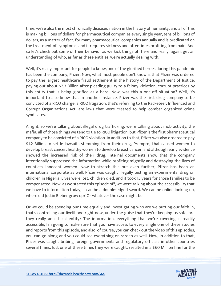time, we're also the most chronically diseased nation in the history of humanity, and all of this is making billions of dollars for pharmaceutical companies every single year, tens of billions of dollars, as a matter of fact, for many pharmaceutical companies annually and is predicated on the treatment of symptoms, and it requires sickness and oftentimes profiting from pain. And so let's check out some of their behavior as we kick things off here and really, again, get an understanding of who, as far as these entities, we're actually dealing with.

Well, it's really important for people to know, one of the glorified heroes during this pandemic has been the company, Pfizer. Now, what most people don't know is that Pfizer was ordered to pay the largest healthcare fraud settlement in the history of the Department of Justice, paying out about \$2.3 Billion after pleading guilty to a felony violation, corrupt practices by this entity that is being glorified as a hero. Now, was this a one-off situation? Well, it's important to also know that in another instance, Pfizer was the first drug company to be convicted of a RICO charge, a RICO litigation, that's referring to the Racketeer, Influenced and Corrupt Organizations Act, are laws that were created to help combat organized crime syndicates.

Alright, so we're talking about illegal drug trafficking, we're talking about mob activity, the mafia, all of those things we tend to tie to RICO litigation, but Pfizer is the first pharmaceutical company to be convicted of a RICO violation. In addition to that, Pfizer was also ordered to pay \$1.2 Billion to settle lawsuits stemming from their drug, Prempro, that caused women to develop breast cancer, healthy women to develop breast cancer, and although early evidence showed the increased risk of their drug, internal documents show that the company intentionally suppressed the information while profiting mightily and destroying the lives of countless innocent women. Now to stretch this out even further, Pfizer has been an international corporate as well. Pfizer was caught illegally testing an experimental drug on children in Nigeria. Lives were lost, children died, and it took 15 years for those families to be compensated. Now, as we started this episode off, we were talking about the accessibility that we have to information today, it can be a double-edged sword. We can be online looking up, where did Justin Bieber grow up? Or whatever the case might be.

Or we could be spending our time equally and investigating who are we putting our faith in, that's controlling our livelihood right now, under the guise that they're keeping us safe, are they really an ethical entity? The information, everything that we're covering is readily accessible, I'm going to make sure that you have access to every single one of these studies and reports from this episode, and also, of course, you can check out the video of this episodes, you can go along and you could see everything on screen as well. Now, in addition to that, Pfizer was caught bribing foreign governments and regulatory officials in other countries several times. Just one of these times they were caught, resulted in a \$60 Million fine for the

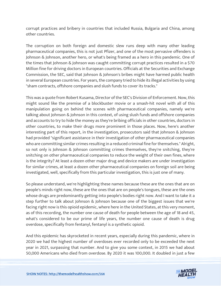corrupt practices and bribery in countries that included Russia, Bulgaria and China, among other countries.

The corruption on both foreign and domestic slew runs deep with many other leading pharmaceutical companies, this is not just Pfizer, and one of the most pervasive offenders is Johnson & Johnson, another hero, or what's being framed as a hero in this pandemic. One of the times that Johnson & Johnson was caught committing corrupt practices resulted in a \$70 Million fine for driving doctors in European countries. Officials at the Securities and Exchange Commission, the SEC, said that Johnson & Johnson's bribes might have harmed public health in several European countries. For years, the company tried to hide its illegal activities by using "sham contracts, offshore companies and slush funds to cover its tracks."

This was a quote from Robert Kusama, Director of the SEC's Division of Enforcement. Now, this might sound like the premise of a blockbuster movie or a smash-hit novel with all of this manipulation going on behind the scenes with pharmaceutical companies, namely we're talking about Johnson & Johnson in this context, of using slush funds and offshore companies and accounts to try to hide the money as they're bribing officials in other countries, doctors in other countries, to make their drugs more prominent in those places. Now, here's another interesting part of this report, in the investigation, prosecutors said that Johnson & Johnson had provided "significant assistance in their investigation of other pharmaceutical companies who are committing similar crimes resulting in a reduced criminal fine for themselves." Alright, so not only is Johnson & Johnson committing crimes themselves, they're snitching, they're snitching on other pharmaceutical companies to reduce the weight of their own fines, where is the integrity? At least a dozen other major drug and device makers are under investigation for similar crimes, at least a dozen other pharmaceutical companies on foreign soil are being investigated, well, specifically from this particular investigation, this is just one of many.

So please understand, we're highlighting these names because these are the ones that are on people's minds right now, these are the ones that are on people's tongues, these are the ones whose drugs are predominantly getting into people's bodies right now. And I want to take it a step further to talk about Johnson & Johnson because one of the biggest issues that we're facing right now is this opioid epidemic, where here in the United States, at this very moment, as of this recording, the number one cause of death for people between the age of 18 and 45, what's considered to be our prime of life years, the number one cause of death is drug overdose, specifically from fentanyl, fentanyl is a synthetic opioid.

And this epidemic has skyrocketed in recent years, especially during this pandemic, where in 2020 we had the highest number of overdoses ever recorded only to be exceeded the next year in 2021, surpassing that number. And to give you some context, in 2015 we had about 50,000 Americans who died from overdose. By 2020 it was 100,000. It doubled in just a few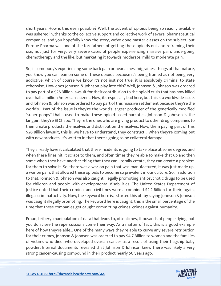short years. How is this even possible? Well, the advent of opioids being so readily available was ushered in, thanks to the collective support and collective work of several pharmaceutical companies, and you hopefully know the story, we've done master classes on the subject, but Purdue Pharma was one of the forefathers of getting these opioids out and reframing their use, not just for very, very severe cases of people experiencing massive pain, undergoing chemotherapy and the like, but marketing it towards moderate, mild to moderate pain.

So, if somebody's experiencing some back pain or headaches, migraines, things of that nature, you know you can lean on some of these opioids because it's being framed as not being very addictive, which of course we know it's not just not true, it is absolutely criminal to state otherwise. How does Johnson & Johnson play into this? Well, Johnson & Johnson was ordered to pay part of a \$26 Billion lawsuit for their contribution to the opioid crisis that has now killed over half a million American citizens. Now, it's especially bad here, but this is a worldwide issue, and Johnson & Johnson was ordered to pay part of this massive settlement because they're the world's... Part of the issue is they're the world's largest producer of the genetically modified "super poppy" that's used to make these opioid-based narcotics. Johnson & Johnson is the kingpin, they're El Chapo. They're the ones who are giving product to other drug companies to then create products themselves and distribution themselves. Now, them paying part of this \$26 Billion lawsuit, this is, we have to understand, they construct... When they're coming out with new products, it's written in that there's going to be collateral damage.

They already have it calculated that these incidents is going to take place at some degree, and when these fines hit, it scraps to them, and often times they're able to make that up and then some when they have another thing that they can literally create, they can create a problem for them to solve it. So, there was a war on pain that was manufactured, it was just made up, a war on pain, that allowed these opioids to become so prevalent in our culture. So, in addition to that, Johnson & Johnson was also caught illegally promoting antipsychotic drugs to be used for children and people with developmental disabilities. The United States Department of Justice noted that their criminal and civil fines were a combined \$2.2 Billion for their, again, illegal criminal activity. Now, the keyword here is, I started this off by saying Johnson & Johnson was caught illegally promoting. The keyword here is caught, this is the small percentage of the time that these companies get caught committing crimes, crimes against humanity.

Fraud, bribery, manipulation of data that leads to, oftentimes, thousands of people dying, but you don't see the repercussions come their way. As a matter of fact, this is a good example here of how they're able... One of the many ways they're able to curve any severe retribution for their crimes, Johnson & Johnson was ordered to pay \$4.7 Billion to women and the families of victims who died, who developed ovarian cancer as a result of using their flagship baby powder. Internal documents revealed that Johnson & Johnson knew there was likely a very strong cancer-causing compound in their product nearly 50 years ago.

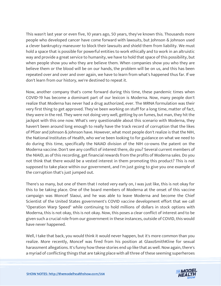This wasn't last year or even five, 10 years ago, 50 years, they've known this. Thousands more people who developed cancer have come forward with lawsuits, but Johnson & Johnson used a clever bankruptcy maneuver to block their lawsuits and shield them from liability. We must hold a space that is possible for powerful entities to work ethically and to work in an altruistic way and provide a great service to humanity, we have to hold that space of this possibility, but when people show you who they are believe them. When companies show you who they are believe them or the blood will be on our hands, the problem will be on us, and this has been repeated over and over and over again, we have to learn from what's happened thus far. If we don't learn from our history, we're destined to repeat it.

Now, another company that's come forward during this time, these pandemic times when COVID-19 has become a dominant part of our lexicon is Moderna. Now, many people don't realize that Moderna has never had a drug authorized, ever. The MRNA formulation was their very first thing to get approved. They've been working on stuff for a long time, matter of fact, they were in the red. They were not doing very well, getting by on fumes, but man, they hit the jackpot with this one now. What's very questionable about this scenario with Moderna, they haven't been around long enough to really have the track record of corruption that the likes of Pfizer and Johnson & Johnson have. However, what most people don't realize is that the NIH, the National Institutes of Health, who we've been looking to for guidance on what we need to do during this time, specifically the NAIAD division of the NIH co-owns the patent on the Moderna vaccine. Don't see any conflict of interest there, do you? Several current members of the NIAID, as of this recording, get financial rewards from the profits of Moderna sales. Do you not think that there would be a vested interest in them promoting this product? This is not supposed to take place within our government, and I'm just going to give you one example of the corruption that's just jumped out.

There's so many, but one of them that I noted very early on, I was just like, this is not okay for this to be taking place. One of the board members of Moderna at the onset of this vaccine campaign was Moncef Slaoui, and he was able to leave Moderna and become the Chief Scientist of the United States government's COVID vaccine development effort that we call "Operation Warp Speed" while continuing to hold millions of dollars in stock options with Moderna, this is not okay, this is not okay. Now, this poses a clear conflict of interest and to be given such a crucial role from our government in these instances, outside of COVID, this would have never happened.

Well, I take that back, you would think it would never happen, but it's more common than you realize. More recently, Moncef was fired from his position at GlaxoSmithKline for sexual harassment allegations. It's funny how these stories end up like that as well. Now again, there's a myriad of conflicting things that are taking place with all three of these seeming superheroes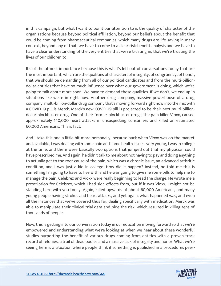in this campaign, but what I want to point our attention to is the quality of character of the organizations because beyond political affiliation, beyond our beliefs about the benefit that could be coming from pharmaceutical companies, which many drugs are life-saving in many context, beyond any of that, we have to come to a clear risk-benefit analysis and we have to have a clear understanding of the very entities that we're trusting in, that we're trusting the lives of our children to.

It's of the utmost importance because this is what's left out of conversations today that are the most important, which are the qualities of character, of integrity, of congruency, of honor, that we should be demanding from all of our political candidates and from the multi-billiondollar entities that have so much influence over what our government is doing, which we're going to talk about more soon. We have to demand these qualities. If we don't, we end up in situations like we're in right now. Another drug company, massive powerhouse of a drug company, multi-billion-dollar drug company that's moving forward right now into the mix with a COVID-19 pill is Merck. Merck's new COVID-19 pill is projected to be their next multi-billiondollar blockbuster drug. One of their former blockbuster drugs, the pain killer Vioxx, caused approximately 140,000 heart attacks in unsuspecting consumers and killed an estimated 60,000 Americans. This is fact.

And I take this one a little bit more personally, because back when Vioxx was on the market and available, I was dealing with some pain and some health issues, very young, I was in college at the time, and there were basically two options that jumped out that my physician could have prescribed me. And again, he didn't talk to me about not having to pay and doing anything to actually get to the root cause of the pain, which was a chronic issue, an advanced arthritic condition, and I was just a kid in college. How did it happen? Instead, he told me this is something I'm going to have to live with and he was going to give me some pills to help me to manage the pain, Celebrex and Vioxx were really beginning to lead the charge. He wrote me a prescription for Celebrex, which I had side effects from, but if it was Vioxx, I might not be standing here with you today. Again, killed upwards of about 60,000 Americans, and many young people having strokes and heart attacks, and yet again, what happened was, and even all the instances that we've covered thus far, dealing specifically with medication, Merck was able to manipulate their clinical trial data and hide the risk, which resulted in killing tens of thousands of people.

Now, this is getting into our conversation today in our education moving forward so that we're empowered and understanding what we're looking at when we hear about these wonderful studies purporting the benefit of various drugs coming from entities with a proven track record of felonies, a trail of dead bodies and a massive lack of integrity and honor. What we're seeing here is a situation where people think if something is published in a procedures peer-

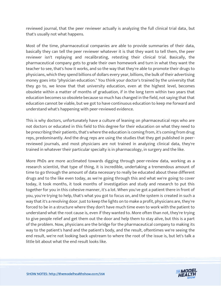reviewed journal, that the peer reviewer actually is analyzing the full clinical trial data, but that's usually not what happens.

Most of the time, pharmaceutical companies are able to provide summaries of their data, basically they can tell the peer reviewer whatever it is that they want to tell them, the peer reviewer isn't replaying and recalibrating, retesting their clinical trial. Basically, the pharmaceutical company gets to grade their own homework and turn in what they want the teacher to see, that's how it works, and so the way that they're able to promote their drugs to physicians, which they spend billions of dollars every year, billions, the bulk of their advertising money goes into "physician education." You think your doctor's trained by the university that they go to, we know that that university education, even at the highest level, becomes obsolete within a matter of months of graduation, if in the long term within two years that education becomes so obsolete because so much has changed in the field, not saying that that education cannot be viable, but we got to have continuous education to keep me forward and understand what's happening with peer-reviewed evidence.

This is why doctors, unfortunately have a culture of leaning on pharmaceutical reps who are not doctors or educated in this field to this degree for their education on what they need to be prescribing their patients, that's where the education is coming from, it's coming from drug reps, predominantly. And the drug reps are using the studies that they get published in peerreviewed journals, and most physicians are not trained in analyzing clinical data, they're trained in whatever their particular specialty is in pharmacology, in surgery and the like.

More PhDs are more acclimated towards digging through peer-review data, working as a research scientist, that type of thing, it is incredible, undertaking a tremendous amount of time to go through the amount of data necessary to really be educated about these different drugs and to the like even today, as we're going through this and what we're going to cover today, it took months, it took months of investigation and study and research to put this together for you in this cohesive manner, it's a lot. When you've got a patient there in front of you, you're trying to help, that's what you got to focus on, and the system is created in such a way that it's a revolving door. Just to keep the lights on to make a profit, physicians are, they're forced to be in a structure where they don't have much time even to work with the patient to understand what the root cause is, even if they wanted to. More often than not, they're trying to give people relief and get them out the door and help them to stay alive, but this is a part of the problem. Now, physicians are the bridge for the pharmaceutical company to making its way to the patient's hand and the patient's body, and the result, oftentimes we're seeing the end result, we're not looking back upstream to where the root of the issue is, but let's talk a little bit about what the end result looks like.

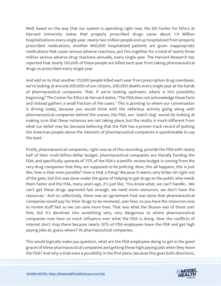Well, based on the way that our system is operating right now, the EJS Center for Ethics at Harvard University states that properly prescribed drugs cause about 1.9 Million hospitalizations every single year, nearly two million people end up hospitalized from properly prescribed medications. Another 840,000 hospitalized patients are given inappropriate medications that cause serious adverse reactions, put this together for a total of nearly three million serious adverse drug reactions annually, every single year. The Harvard Research has reported that nearly 130,000 of these people are killed each year from taking pharmaceutical drugs as prescribed every single year.

And add on to that another 70,000 people killed each year from prescription drug overdoses, we're looking at around 200,000 of our citizens, 200,000 deaths every single year at the hands of pharmaceutical companies. That, if we're looking upstream, where is this possibility beginning? The Center for Ethics at Harvard states, "The FDA does not acknowledge these facts and instead gathers a small fraction of the cases." This is pointing to where our conversation is driving today, because you would think with the nefarious activity going along with pharmaceutical companies behind the scenes, the FDA, our "watch dog" would be looking at making sure that these instances are not taking place, but the reality is much different from what our belief may be, because believing that the FDA has a proven track record of putting the American people above the interests of pharmaceutical companies is questionable to say the least.

Firstly, pharmaceutical companies, right now as of this recording, provide the FDA with nearly half of their multi-billion-dollar budget, pharmaceutical companies are literally funding the FDA, and specifically upwards of 75% of the FDA's scientific review budget is coming from the very drug companies that they are supposed to be policing. Now, this all happens, this is just like, how is that even possible? How is that a thing? Because it seems very bribe-ish right out of the gate, but this was done under the guise of helping to get drugs to the public who needs them faster and the FDA, many years ago, it's just like, "You know what, we can't handle... We can't get these drugs approved fast enough, we need more resources, we don't have the resources." And so collectively, there was an agreement that was done that pharmaceutical companies would pay for their drugs to be reviewed, user fees, so you have the resources now to review stuff fast so we can save more lives. That was what the illusion was of these user fees, but it's devolved into something very, very dangerous to where pharmaceutical companies now have so much influence over what the FDA is doing. Now the conflicts of interest don't stop there because nearly 30% of FDA employees leave the FDA and get high paying jobs at, guess where? At pharmaceutical companies.

This would logically make you question, what are the FDA employees doing to get in the good graces of these pharmaceutical companies and getting these high paying jobs when they leave the FDA? And why is that even a possibility in the first place, because this goes both directions,

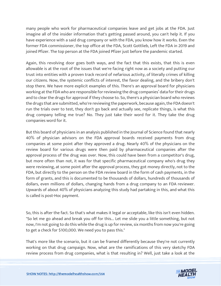many people who work for pharmaceutical companies leave and get jobs at the FDA. Just imagine all of the insider information that's getting passed around, you can't help it. If you have experience with a said drug company or with the FDA, you know how it works. Even the former FDA commissioner, the top office at the FDA, Scott Gottlieb, Left the FDA in 2019 and joined Pfizer. The top person at the FDA joined Pfizer just before the pandemic started.

Again, this revolving door goes both ways, and the fact that this exists, that this is even allowable is at the root of the issues that we're facing right now as a society and putting our trust into entities with a proven track record of nefarious activity, of literally crimes of killing our citizens. Now, the systemic conflicts of interest, the favor dealing, and the bribery don't stop there. We have more explicit examples of this. There's an approval board for physicians working at the FDA who are responsible for reviewing the drug companies' data for their drugs and to clear the drugs for approval if they choose to. So, there's a physician board who reviews the drugs that are submitted, who're reviewing the paperwork, because again, the FDA doesn't run the trials over to test, they don't go back and actually see, replicate things, is what this drug company telling me true? No. They just take their word for it. They take the drug companies word for it.

But this board of physicians in an analysis published in the Journal of Science found that nearly 40% of physician advisors on the FDA approval boards received payments from drug companies at some point after they approved a drug. Nearly 40% of the physicians on the review board for various drugs were then paid by pharmaceutical companies after the approval process of the drug was over. Now, this could have been from a competitor's drug, but more often than not, it was for that specific pharmaceutical company who's drug they were reviewing, at some point after the approval process, they got money directly, not to the FDA, but directly to the person on the FDA review board in the form of cash payments, in the form of grants, and this is documented to be thousands of dollars, hundreds of thousands of dollars, even millions of dollars, changing hands from a drug company to an FDA reviewer. Upwards of about 40% of physicians analyzing this study had partaking in this, and what this is called is post-Hoc payment.

So, this is after the fact. So that's what makes it legal or acceptable, like this isn't even hidden. "So let me go ahead and break you off for this... Let me slide you a little something, but not now, I'm not going to do this while the drug is up for review, six months from now you're going to get a check for \$100,000. We need you to pass this."

That's more like the scenario, but it can be framed differently because they're not currently working on that drug campaign. Now, what are the ramifications of this very sketchy FDA review process from drug companies, what is that resulting in? Well, just take a look at the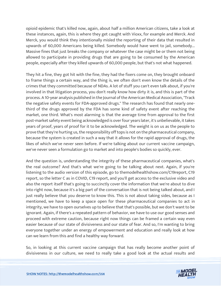opioid epidemic that's killed now, again, about half a million American citizens, take a look at these instances, again, this is where they get caught with Vioxx, for example and Merck. And Merck, you would think they intentionally misled the reporting of their data that resulted in upwards of 60,000 Americans being killed. Somebody would have went to jail, somebody... Massive fines that just breaks the company or whatever the case might be or them not being allowed to participate in providing drugs that are going to be consumed by the American people, especially after they killed upwards of 60,000 people, but that's not what happened.

They hit a fine, they got hit with the fine, they had the fixers come on, they brought onboard to frame things a certain way, and the thing is, we often don't even know the details of the crimes that they committed because of NDAs. A lot of stuff you can't even talk about, if you're involved in that litigation process, you don't really know how dirty it is, and this is part of the process. A 10-year analysis published in the Journal of the American Medical Association, "Track the negative safety events for FDA-approved drugs." The research has found that nearly onethird of the drugs approved by the FDA has some kind of safety event after reaching the market, one third. What's most alarming is that the average time from approval to the first post-market safety event being acknowledged is over four years later, it's unbelievable, it takes years of proof, years of proof for it to be acknowledged. The weight is on us as the people to prove that they're hurting us, the responsibility off tops is not on the pharmaceutical company, because the system is created in such a way that it allows for the rapid approval of drugs, the likes of which we've never seen before. If we're talking about our current vaccine campaign, we've never seen a formulation go to market and into people's bodies so quickly, ever.

And the question is, understanding the integrity of these pharmaceutical companies, what's the real outcome? And that's what we're going to be talking about next. Again, if you're listening to the audio version of this episode, go to themodelhealthshow.com/C19report, C19 report, so the letter C as in COVID, C19 report, and you'll get access to the exclusive video and also the report itself that's going to succinctly cover the information that we're about to dive into right now, because it's a big part of the conversation that is not being talked about, and I just really believe that you deserve to know this. This is not about taking sides, because as I mentioned, we have to keep a space open for these pharmaceutical companies to act in integrity, we have to open ourselves up to believe that that's possible, but we don't want to be ignorant. Again, if there's a repeated pattern of behavior, we have to use our good senses and proceed with extreme caution, because right now things can be framed a certain way even easier because of our state of divisiveness and our state of fear. And so, I'm wanting to bring everyone together under an energy of empowerment and education and really look at how can we learn from this and find a healthy way forward.

So, in looking at this current vaccine campaign that has really become another point of divisiveness in our culture, we need to really take a good look at the actual results and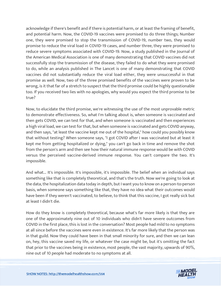acknowledge if there's benefit and if there is potential harm, or at least the framing of benefit, and potential harm. Now, the COVID-19 vaccines were promised to do three things; Number one, they were promised to stop the transmission of COVID-19, number two, they would promise to reduce the viral load in COVID-19 cases, and number three, they were promised to reduce severe symptoms associated with COVID-19. Now, a study published in the Journal of the American Medical Association is one of many demonstrating that COVID vaccines did not successfully stop the transmission of the disease, they failed to do what they were promised to do, while an analysis published in The Lancet is one of many demonstrating that COVID vaccines did not substantially reduce the viral load either, they were unsuccessful in that promise as well. Now, two of the three promised benefits of the vaccines were proven to be wrong, is it that far of a stretch to suspect that the third promise could be highly questionable too. If you received two lies with no apologies, why would you expect the third promise to be true?

Now, to elucidate the third promise, we're witnessing the use of the most unprovable metric to demonstrate effectiveness. So, what I'm talking about is, when someone is vaccinated and then gets COVID, we can test for that, and when someone is vaccinated and then experiences a high viral load, we can test for that, but when someone is vaccinated and gets COVID anyway, and then says, "at least the vaccine kept me out of the hospital," how could you possibly know that without testing? When someone says, "I got COVID after I was vaccinated but at least it kept me from getting hospitalized or dying," you can't go back in time and remove the shot from the person's arm and then see how their natural immune response would be with COVID versus the perceived vaccine-derived immune response. You can't compare the two. It's impossible.

And what... It's impossible. It's impossible, it's impossible. The belief when an individual says something like that is completely theoretical, and that's the truth. Now we're going to look at the data, the hospitalization data today in depth, but I want you to know on a person-to-person basis, when someone says something like that, they have no idea what their outcomes would have been if they weren't vaccinated, to believe, to think that this vaccine, I got really sick but at least I didn't die.

How do they know is completely theoretical, because what's far more likely is that they are one of the approximately nine out of 10 individuals who didn't have severe outcomes from COVID in the first place, this is lost in the conversation? Most people had mild to no symptoms at all since before the vaccines were even in existence. It's far more likely that the person was in that guild. Now they could have been in that small minority for sure, and then we can lean on, hey, this vaccine saved my life, or whatever the case might be, but it's omitting the fact that prior to the vaccines being in existence, most people, the vast majority, upwards of 90%, nine out of 10 people had moderate to no symptoms at all.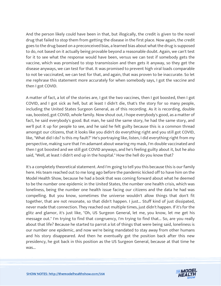And the person likely could have been in that, but illogically, the credit is given to the novel drug that failed to stop them from getting the disease in the first place. Now again, the credit goes to the drug based on a preconceived bias, a learned bias about what the drug is supposed to do, not based on it actually being provable beyond a reasonable doubt. Again, we can't test for it to see what the response would have been, versus we can test if somebody gets the vaccine, which was promised to stop transmission and then gets it anyway, so they get the disease anyways, we can test for that. It was promised to prevent high viral loads comparable to not be vaccinated, we can test for that, and again, that was proven to be inaccurate. So let me rephrase this statement more accurately for when somebody says, I got the vaccine and then I got COVID.

A matter of fact, a lot of the stories are, I got the two vaccines, then I got boosted, then I got COVID, and I got sick as hell, but at least I didn't die, that's the story for so many people, including the United States Surgeon General, as of this recording. As it is recording, double vax, boosted, got COVID, whole family. Now shout out, I hope everybody's good, as a matter of fact, he said everybody's good. But man, he said the same story, he had the same story, and we'll put it up for people to see, and he said he felt guilty because this is a common thread amongst our citizens, that it looks like you didn't do everything right and you still got COVID, like, "What did I do? Is this my fault?" He's portraying like, listen, I did everything right from my perspective, making sure that I'm adamant about wearing my mask, I'm double vaccinated and then I got boosted and we still got COVID anyways, and he's feeling guilty about it, but he also said, "Well, at least I didn't end up in the hospital." How the hell do you know that?

It's a completely theoretical statement. And I'm going to tell you this because this is our family here. His team reached out to me long ago before the pandemic kicked off to have him on the Model Health Show, because he had a book that was coming forward about what he deemed to be the number one epidemic in the United States, the number one health crisis, which was loneliness, being the number one health issue facing our citizens and the data he had was compelling. But you know, sometimes the universe wouldn't allow things that don't fit together, that are not resonate, so that didn't happen. I just... Stuff kind of just dissipated, never made that connection. They reached out multiple times, just didn't happen. If it's for the glitz and glamor, it's just like, "Oh, US Surgeon General, let me, you know, let me get his message out." I'm trying to find that congruency, I'm trying to find that... So, are you really about that life? Because he started to parrot a lot of things that were being said, loneliness is our number one epidemic, and now we're being mandated to stay away from other humans and his story disappeared. And then he eventually got the position back after this new presidency, he got back in this position as the US Surgeon General, because at that time he was...

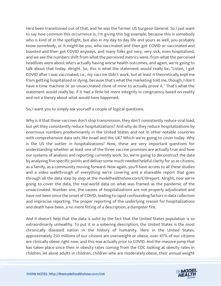He'd been transitioned out of that, and he was the former US Surgeon General. So I just want to say how common this occurrence is, I'm giving this big example, because this is somebody who is kind of in the spotlight, but also in my day-to-day life and yours as well, you probably know somebody, or it might be you, who vaccinated and then got COVID or vaccinated and boosted and then got COVID anyways, and many folks got very, very sick, even hospitalized, and we see the numbers shift from what the perceived metrics were, from what the perceived headlines were about who's actually having worse health outcomes, and again, we're going to talk about that today. Alright. So, this is what the statement would really be, "Listen, I got COVID after I was vaccinated, I.e., my vaccine didn't work, but at least it theoretically kept me from getting hospitalized or dying, because that's what the marketing told me, though, I don't have a time machine or an unvaccinated clone of mine to actually prove it." That's what the statement would really be, if it had a little bit more integrity in congruency based on reality and not a theory about what would have happened.

So, I want you to simply ask yourself a couple of logical questions.

Why is it that these vaccines don't stop transmission, they don't consistently reduce viral load, but yet they consistently reduce hospitalizations? And why do they reduce hospitalizations by enormous numbers predominantly in the United States and not in other notable countries with comprehensive data sets like Israel and the UK? Which we're going to cover today. Why is the US the outlier in hospitalizations? Now, these are very important questions for understanding whether at least one of the three vaccine promises are actually true and how our systems of analysis and reporting currently work. So, we're going to deconstruct the data by analyzing five specific points and deliver some much-needed helpful clarity for us as citizens, as a family, as a community moving forward. Now again, you'll have access to all these studies and a video walkthrough of everything we're covering and a shareable report that goes through all the data step by step at the modelhealthshow.com/C19report. Alright, now we're going to cover the data, the real-world data on what was framed as the pandemic of the unvaccinated. Number one, the causes of hospitalizations are not properly adjudicated and have not been since the onset of COVID, leading to rapid confounding factors in data collection and imprecise reporting. The proper reporting of the underlying reason for hospitalizations and death have been, a no more fitting of a description, a dumpster fire.

And it doesn't help that the data is solid by the fact that the United States population is so extraordinarily unhealthy. To put it in a sobering description, the United States is the most chronically diseased nation in the history of humanity. Here in the United States, approximately 250 millions of our citizens are overweight or obese, over 45% of our citizens are clinically obese right now, and this was actually prior to COVID. And the massive jump that has taken place since then in obesity rates coming from the CDC looking at obesity rates in children, let alone adults in children, children who are moderately obese, their annual weight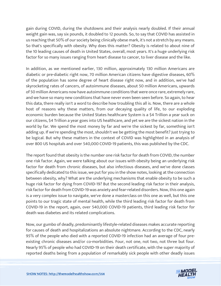gain during COVID, during the shutdowns and their analysis nearly doubled. If their annual weight gain was, say six pounds, it doubled to 12 pounds. So, to say that COVID has assisted in us reaching that 50% of our society being clinically obese mark, it's not a stretch by any means. So that's specifically with obesity. Why does this matter? Obesity is related to about nine of the 10 leading causes of death in United States, overall, most years. It's a huge underlying risk factor for so many issues ranging from heart disease to cancer, to liver disease and the like.

In addition, as we mentioned earlier, 130 million, approximately 130 million Americans are diabetic or pre-diabetic right now, 70 million American citizens have digestive diseases, 60% of the population has some degree of heart disease right now, and in addition, we've had skyrocketing rates of cancers, of autoimmune diseases, about 50 million Americans, upwards of 50 million Americans now have autoimmune conditions that were once rare, extremely rare, and we have so many new conditions that have never even been seen before. So again, to hear this data, there really isn't a word to describe how troubling this all is. Now, there are a whole host of reasons why these matters, from our decaying quality of life, to our exploding economic burden because the United States healthcare System is a \$4 Trillion a year suck on our citizens, \$4 Trillion a year goes into US healthcare, and yet we are the sickest nation in the world by far. We spend the most money by far and we're the sickest by far, something isn't adding up. If we're spending the most, shouldn't we be getting the most benefit? Just trying to be logical. But why these matters in the context of COVID was highlighted in an analysis of over 800 US hospitals and over 540,000 COVID-19 patients, this was published by the CDC.

The report found that obesity is the number one risk factor for death from COVID, the number one risk factor. Again, we were talking about our issues with obesity being an underlying risk factor for death from chronic diseases, but also infectious diseases, and we've done classes specifically dedicated to this issue, we put for you in the show notes, looking at the connection between obesity, why? What are the underlying mechanisms that enable obesity to be such a huge risk factor for dying from COVID-19? But the second leading risk factor in their analysis, risk factor for death from COVID-19 was anxiety and fear-related disorders. Now, this one again is a very complex issue to navigate, we've done a masterclass on this one as well, but this one points to our tragic state of mental health, while the third leading risk factor for death from COVID-19 in the report, again, over 540,000 COVID-19 patients, third leading risk factor for death was diabetes and its related complications.

Now, our gumbo of deadly, predominantly lifestyle-related diseases makes accurate reporting for causes of death and hospitalizations an absolute nightmare. According to the CDC, nearly 95% of the people who died with a reported COVID-19 infection had an average of four preexisting chronic diseases and/or co-morbidities. Four, not one, not two, not three but four. Nearly 95% of people who had COVID-19 on their death certificate, with the super majority of reported deaths being from a population of remarkably sick people with other deadly issues

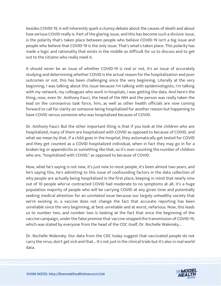besides COVID-19, it will inherently spark a clumsy debate about the causes of death and about how serious COVID really is. Part of the glaring issue, and this has become such a divisive issue, is the polarity that's taken place between people who believe COVID-19 isn't a big issue and people who believe that COVID-19 is the only issue. That's what's taken place. This polarity has made a logic and rationality that exists in the middle so difficult for us to discuss and to get out to the citizens who really need it.

It should never be an issue of whether COVID-19 is real or not, it's an issue of accurately studying and determining whether COVID is the actual reason for the hospitalization and poor outcomes or not, this has been challenging since the very beginning. Literally at the very beginning, I was talking about this issue because I'm talking with epidemiologists, I'm talking with my network, my colleagues who work in hospitals, I was getting the data. And here's the thing, now, even Dr. Anthony Fauci, the head of the NIH and the person was really taken the lead on the coronavirus task force, him, as well as other health officials are now coming forward to call for clarity on someone being hospitalized for another reason but happening to have COVID versus someone who was hospitalized because of COVID.

Dr. Anthony Fauci: But the other important thing is that if you look at the children who are hospitalized, many of them are hospitalized with COVID as opposed to because of COVID, and what we mean by that, if a child goes in the hospital, they automatically get tested for COVID and they get counted as a COVID hospitalized individual, when in fact they may go in for a broken leg or appendicitis or something like that, so it's over-counting the number of children who are, "hospitalized with COVID," as opposed to because of COVID.

Now, what he's saying is not new, it's just new to most people, it's been almost two years, and he's saying this, he's admitting to this issue of confounding factors in the data collection of why people are actually being hospitalized in the first place, keeping in mind that nearly nine out of 10 people who've contracted COVID had moderate to no symptoms at all, it's a huge population majority of people who will be carrying COVID at any given time and potentially seeking medical attention for an unrelated issue because our largely unhealthy society that we're existing in, a vaccine does not change the fact that accurate reporting has been unreliable since the very beginning, at best unreliable and at worst, nefarious. Now, this leads us to number two, and number two is looking at the fact that since the beginning of the vaccine campaign, under the false premise that vaccine stopped the transmission of COVID-19, which was stated by everyone from the head of the CDC itself, Dr. Rochelle Walensky...

Dr. Rochelle Walensky: Our data from the CDC today suggest that vaccinated people do not carry the virus, don't get sick and that... It's not just in the clinical trials but it's also in real world data.

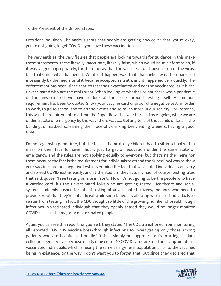To the President of the United States.

President Joe Biden: The various shots that people are getting now cover that, you're okay, you're not going to get COVID if you have these vaccinations.

The very entities, the very figures that people are looking towards for guidance in this make these statements, these literally inaccurate, literally false, which would be misinformation, if it was tagged appropriately, for them to say that the vaccines stop transmission of the virus, but that's not what happened. What did happen was that that belief was then parroted incessantly by the media until it became accepted as truth, and it happened very quickly. The enforcement has been, since that, to test the unvaccinated and not the vaccinated, as it is the unvaccinated who are the real threat. When looking at whether or not there was a pandemic of the unvaccinated, we have to look at the issues around testing itself. A common requirement has been to quote, "Show your vaccine card or proof of a negative test" in order to work, to go to school and to attend events and so much more in our society. For instance, this was the requirement to attend the Super Bowl this year here in Los Angeles, while we are under a state of emergency by the way, there was a... Getting tens of thousands of fans in the building, unmasked, screaming their face off, drinking beer, eating wieners, having a good time.

I'm not against a good time, but the fact is the next day children had to sit in school with a mask on their face for seven hours just to get an education under the same state of emergency, and the rules are not applying equally to everyone, but that's neither here nor there because the fact is the requirement for individuals to attend the Super Bowl was to show your vaccine card or a negative test, never mind the fact that vaccinated individuals can carry and spread COVID just as easily, and at the stadium they actually had, of course, testing sites that said, quote, "Free testing on site in front." Now, it's not going to be the people who have a vaccine card, it's the unvaccinated folks who are getting tested. Healthcare and social systems suddenly pushed for lots of testing of unvaccinated citizens, the ones who need to provide proof that they're not a threat while simultaneously allowing vaccinated individuals to refrain from testing. In fact, the CDC thought so little of the growing number of breakthrough infections in vaccinated individuals that they openly shared they would no longer monitor COVID cases in the majority of vaccinated people.

Again, you can see this report for yourself, they stated, "The CDC transitioned from monitoring all reported COVID-19 vaccine breakthrough infections to investigating only those among patients who are hospitalized or die." This is simply not appropriate from a logical data collection perspective, because nearly nine out of 10 COVID cases are mild or asymptomatic in vaccinated individuals, which is nearly the same as a general population prior to the vaccines being in existence, by the way, I don't want you to forget that, but since they declared that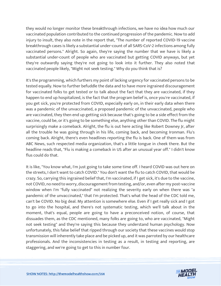they would no longer monitor these breakthrough infections, we have no idea how much our vaccinated population contributed to the continued progression of the pandemic. Now to add injury to insult, they also note in the report that, "The number of reported COVID-19 vaccine breakthrough cases is likely a substantial under-count of all SARS-CoV-2 infections among fully vaccinated persons." Alright. So again, they're saying the number that we have is likely a substantial under-count of people who are vaccinated but getting COVID anyways, but yet they're outwardly saying they're not going to look into it further. They also noted that vaccinated people likely, "Might not seek testing." Why do you think that is?

It's the programming, which furthers my point of lacking urgency for vaccinated persons to be tested equally. Now to further befuddle the data and to have more ingrained discouragement for vaccinated folks to get tested or to talk about the fact that they are vaccinated, if they happen to end up hospitalized, is the fact that the program belief is, once you're vaccinated, if you get sick, you're protected from COVID, especially early on, in their early data when there was a pandemic of the unvaccinated, a proposed pandemic of the unvaccinated, people who are vaccinated, they then end up getting sick because that's going to be a side effect from the vaccine, could be, or it's going to be something else, anything other than COVID. The flu might surprisingly make a comeback. Alright, the flu is out here acting like Robert Downey Jr, after all the trouble he was going through in his life, coming back, and becoming Ironman. Flu's coming back. Alright, there's even headlines reporting the flu is back. One of them was from ABC News, such respected media organization, that's a little tongue in cheek there. But the headline reads that, "Flu is making a comeback in US after an unusual year off." I didn't know flus could do that.

It is like, "You know what, I'm just going to take some time off. I heard COVID was out here on the streets, I don't want to catch COVID." You don't want the flu to catch COVID, that would be crazy. So, carrying this ingrained belief that, I'm vaccinated, if I get sick, it's due to the vaccine, not COVID, no need to worry, discouragement from testing, and/or, even after my post-vaccine window when I'm "fully vaccinated" not realizing the severity early on when there was "a pandemic of the unvaccinated," that I'm protected. That's what the head of the CDC told me, can't be COVID. No big deal. My attention is somewhere else. Even if I get really sick and I got to go into the hospital, and there's not systematic testing, which we'll talk about in the moment, that's equal, people are going to have a preconceived notion, of course, that dissuades them, as the CDC mentioned, many folks are going to, who are vaccinated, "Might not seek testing" and they're saying this because they understand human psychology. Now unfortunately, this false belief that ripped through our society that these vaccines would stop transmission will inherently take place and be picked up, and it was parroted by our healthcare professionals. And the inconsistencies in testing as a result, in testing and reporting, are staggering, and we're going to get to this in number four.

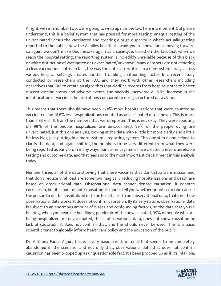Alright, we're in number two, we're going to wrap up number two here in a moment, but please understand, this is a belief system that has pressed for more testing, unequal testing of the unvaccinated versus the vaccinated and creating a huge disparity in what's actually getting reported to the public, Now the Achilles heel that I want you to know about moving forward so again, we don't make this mistake again as a society, is based on the fact that when we reach the hospital setting, the reporting system is incredibly unreliable because of this black or white distinction of vaccinated or unvaccinated/unknown. Many data sets are not denoting a clear vaccination status, in fact, the way the notes are written in a non-systemic way, across various hospital settings creates another troubling confounding factor. In a recent study conducted by researchers at the FDA, and they work with other researchers including operatives that IBM to create an algorithm that clarifies records from hospital notes to better discern vaccine status and adverse events, the analysis uncovered a 16.8% increase in the identification of vaccine administrations compared to using structured data alone.

This means that there should have been 16.8% more hospitalizations that were counted as vaccinated and 16.8% less hospitalizations counted as unvaccinated or unknown. This is more than a 33% shift from the numbers that were reported. This is not okay. They were spouting off 99% of the people hospitalized are unvaccinated, 99% of the people dying are unvaccinated, just this one analysis, looking at the data with a little bit more clarity and a little bit less bias, just putting in a more systemic reporting system. This one step alone helped to clarify the data, and again, shifting the numbers to be very different from what they were being reported as early on. In many ways, our current systems have created uneven, unreliable testing and outcome data, and that leads us to the most important discernment in this analysis today.

Number three, all of the data showing that these vaccines that don't stop transmission and that don't reduce viral load are somehow magically reducing hospitalizations and death are based on observational data. Observational data cannot denote causation, it denotes correlation, but it cannot denote causation, it cannot tell you whether or not a vaccine caused the person to not be hospitalized or to be hospitalized from observational data, that's not how observational data works. It does not confirm causation. By its very nature, observational data is subject to an enormous amount of biases and confounding factors, so the data that you're hearing, when you hear the headlines, pandemic of the unvaccinated, 99% of people who are being hospitalized are unvaccinated, this is observational data, does not show causation or lack of causation, it does not confirm that, and this should never be used. This is a basic scientific tenet to globally inform healthcare policy and the education of the public.

Dr. Anthony Fauci: Again, this is a very basic scientific tenet that seems to be completely abandoned in the scenario, and not only that, observational data that does not confirm causation has been propped up as unquestionable fact, it's been propped up as if it's infallible,

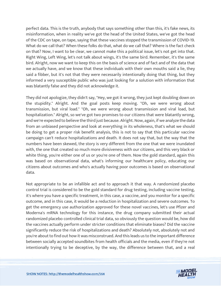perfect data. This is the truth, anybody that says something other than this, it's fake news, its misinformation, when in reality we've got the head of the United States, we've got the head of the CDC on tape, on tape, saying that these vaccines stopped the transmission of COVID-19. What do we call that? When these folks do that, what do we call that? Where is the fact check on that? Now, I want to be clear, we cannot make this a political issue, let's not get into that. Right Wing, Left Wing, let's not talk about wings, it's the same bird. Remember, it's the same bird. Alright, now we want to keep this on the basis of science and of fact and of the data that we actually have, and we know that these individuals with their own mouths said a lie, they said a fibber, but it's not that they were necessarily intentionally doing that thing, but they informed a very susceptible public who was just looking for a solution with information that was blatantly false and they did not acknowledge it.

They did not apologize, they didn't say, "Hey, we got it wrong, they just kept doubling down on the stupidity." Alright. And the goal posts keep moving. "Oh, we were wrong about transmission, but viral load." "Oh, we were wrong about transmission and viral load, but hospitalization." Alright, so we've got two promises to our citizens that were blatantly wrong, and we're expected to believe the third just because. Alright. Now, again, if we analyze the data from an unbiased perspective and look at everything in its wholeness, that's what we should be doing to get a proper risk benefit analysis, this is not to say that this particular vaccine campaign can't reduce hospitalizations and death. It does not say that, but the way that the numbers have been skewed, the story is very different from the one that we were inundated with, the one that created so much more divisiveness with our citizens, and this very black or white thing, you're either one of us or you're one of them. Now the gold standard, again this was based on observational data, what's informing our healthcare policy, educating our citizens about outcomes and who's actually having poor outcomes is based on observational data.

Not appropriate to be an infallible act and to approach it that way. A randomized placebo control trial is considered to be the gold standard for drug testing, including vaccine testing, it's where you have a specific treatment, in this case, a vaccine, and you monitor for a specific outcome, and in this case, it would be a reduction in hospitalization and severe outcomes. To get the emergency use authorization approved for these novel vaccines, let's use Pfizer and Moderna's mRNA technology for this instance, the drug company submitted their actual randomized placebo controlled clinical trial data, so obviously the question would be, how did the vaccines actually perform under stricter conditions that eliminate biases? Did the vaccine significantly reduce the risk of hospitalizations and death? Absolutely not, absolutely not and you're about to find out how it was misconstrued. And this leads us to the important difference between socially accepted soundbites from health officials and the media, even if they're not intentionally trying to be deceptive, by the way, the difference between that, and a real

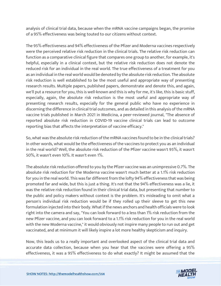analysis of clinical trial data, because when the mRNA vaccine campaigns began, the promise of a 95% effectiveness was being touted to our citizens without context.

The 95% effectiveness and 94% effectiveness of the Pfizer and Moderna vaccines respectively were the perceived relative risk reduction in the clinical trials. The relative risk reduction can function as a comparative clinical figure that compares one group to another, for example, it's helpful, especially in a clinical context, but the relative risk reduction does not denote the reduced risk for an individual in the real world. The true effectiveness of a treatment for you as an individual in the real world would be denoted by the absolute risk reduction. The absolute risk reduction is well established to be the most useful and appropriate way of presenting research results. Multiple papers, published papers, demonstrate and denote this, and again, we'll put a resource for you, this is well-known and this is why for me, it's like, this is basic stuff, especially, again, the absolute risk reduction is the most useful and appropriate way of presenting research results, especially for the general public who have no experience in discerning the difference in clinical trial outcomes, and as detailed in this analysis of the mRNA vaccine trials published in March 2021 in Medicina, a peer-reviewed journal, "The absence of reported absolute risk reduction in COVID-19 vaccine clinical trials can lead to outcome reporting bias that affects the interpretation of vaccine efficacy."

So, what was the absolute risk reduction of the mRNA vaccines found to be in the clinical trials? In other words, what would be the effectiveness of the vaccines to protect you as an individual in the real world? Well, the absolute risk reduction of the Pfizer vaccine wasn't 95%, it wasn't 50%, it wasn't even 10%. It wasn't even 1%.

The absolute risk reduction offered to you by the Pfizer vaccine was an unimpressive 0.7%. The absolute risk reduction for the Moderna vaccine wasn't much better at a 1.1% risk reduction for you in the real world. This was far different from the lofty 94% effectiveness that was being promoted far and wide, but this is just a thing. It's not that the 94% effectiveness was a lie, it was the relative risk reduction found in their clinical trial data, but presenting that number to the public and policy makers without context is the problem. It's misleading to omit what a person's individual risk reduction would be if they rolled up their sleeve to get this new formulation injected into their body. What if the news anchors and health officials were to look right into the camera and say, "You can look forward to a less than 1% risk reduction from the new Pfizer vaccine, and you can look forward to a 1.1% risk reduction for you in the real world with the new Moderna vaccine," it would obviously not inspire many people to run out and get vaccinated, and at minimum it will likely inspire a lot more healthy skepticism and inquiry.

Now, this leads us to a really important and overlooked aspect of the clinical trial data and accurate data collection, because when you hear that the vaccines were offering a 95% effectiveness, it was a 95% effectiveness to do what exactly? It might be assumed that the

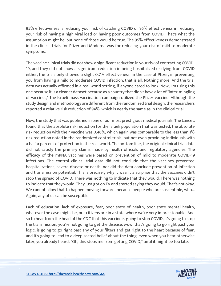95% effectiveness is reducing your risk of catching COVID or 95% effectiveness in reducing your risk of having a high viral load or having poor outcomes from COVID. That's what the assumption might be, but none of those would be true. The 95% effectiveness demonstrated in the clinical trials for Pfizer and Moderna was for reducing your risk of mild to moderate symptoms.

The vaccine clinical trials did not show a significant reduction in your risk of contracting COVID-19, and they did not show a significant reduction in being hospitalized or dying from COVID either, the trials only showed a slight 0.7% effectiveness, in the case of Pfizer, in preventing you from having a mild to moderate COVID infection, that is all. Nothing more. And the trial data was actually affirmed in a real-world setting, if anyone cared to look. Now, I'm using this one because it is a cleaner dataset because as a country that didn't have a lot of "inter-mingling of vaccines," the Israeli mass vaccination campaign utilized the Pfizer vaccine. Although the study design and methodology are different from the randomized trial design, the researchers reported a relative risk reduction of 94%, which is nearly the same as in the clinical trial.

Now, the study that was published in one of our most prestigious medical journals, The Lancet, found that the absolute risk reduction for the Israeli population that was tested, the absolute risk reduction with their vaccine was 0.46%, which again was comparable to the less than 1% risk reduction noted in the randomized control trials, but not even providing individuals with a half a percent of protection in the real world. The bottom line, the original clinical trial data did not satisfy the primary claims made by health officials and regulatory agencies. The efficacy of the mRNA vaccines were based on prevention of mild to moderate COVID-19 infections. The control clinical trial data did not conclude that the vaccines prevented hospitalizations, severe disease or death, nor did the data conclude prevention of infection and transmission potential. This is precisely why it wasn't a surprise that the vaccines didn't stop the spread of COVID. There was nothing to indicate that they would. There was nothing to indicate that they would. They just got on TV and started saying they would. That's not okay. We cannot allow that to happen moving forward, because people who are susceptible, who... Again, any of us can be susceptible.

Lack of education, lack of exposure, fear, poor state of health, poor state mental health, whatever the case might be, our citizens are in a state where we're very impressionable. And so to hear from the head of the CDC that this vaccine is going to stop COVID, it's going to stop the transmission, you're not going to get the disease, wow, that's going to go right past your logic, is going to go right past any of your filters and get right to the heart because of fear, and it's going to lead to a deep seated belief about the thing, even when you hear otherwise later, you already heard, "Oh, this stops me from getting COVID," until it might be too late.

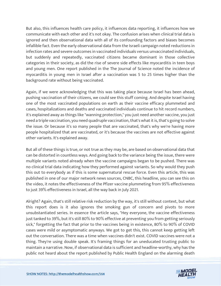But also, this influences health care policy, it influences data reporting, it influences how we communicate with each other and it's not okay. The confusion arises when clinical trial data is ignored and then observational data with all of its confounding factors and biases becomes infallible fact. Even the early observational data from the Israeli campaign noted reductions in infection rates and severe outcomes in vaccinated individuals versus unvaccinated individuals, but suddenly and repeatedly, vaccinated citizens became dominant in those collective categories in their society, as did the rise of severe side effects like myocarditis in teen boys and young men. One report published in the The Journal of Science noted the incidence of myocarditis in young men in Israel after a vaccination was 5 to 25 times higher than the background rate without being vaccinated.

Again, if we were acknowledging that this was taking place because Israel has been ahead, pushing vaccination of their citizens, we could see this stuff coming. And despite Israel having one of the most vaccinated populations on earth as their vaccine efficacy plummeted and cases, hospitalizations and deaths and vaccinated individuals continue to hit record numbers, it's explained away as things like "wanning protection," you just need another vaccine, you just need a triple vaccination, you need quadruple vaccination, that's what it is, that's going to solve the issue. Or because it's so many people that are vaccinated, that's why we're having more people hospitalized that are vaccinated, or it's because the vaccines are not effective against other variants. It's explained away.

But all of these things is true, or not true as they may be, are based on observational data that can be distorted in countless ways. And going back to the variance being the issue, there were multiple variants noted already when the vaccine campaigns began to be pushed. There was no clinical trial data indicating how they performed against variants. So why would they push this out to everybody as if this is some supernatural rescue force. Even this article, this was published in one of our major network news sources, CNBC, this headline, you can see this on the video, it notes the effectiveness of the Pfizer vaccine plummeting from 95% effectiveness to just 39% effectiveness in Israel, all the way back in July 2021.

Alright? Again, that's still relative risk reduction by the way, it's still without context, but what this report does is it also ignores the smoking gun of concern and pivots to more unsubstantiated series. In essence the article says, "Hey everyone, the vaccine effectiveness just tanked to 39%, but it's still 80% to 90% effective at preventing you from getting seriously sick," forgetting the fact that prior to the vaccines being in existence, 80% to 90% of COVID cases were mild or asymptomatic anyways. We got to get this, this cannot keep getting left out the conversation. There was a time when vaccines didn't exist. COVID vaccines were not a thing. They're using double speak. It's framing things for an uneducated trusting public to maintain a narrative. Now, if observational data is sufficient and headline-worthy, why has the public not heard about the report published by Public Health England on the alarming death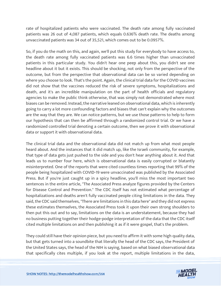rate of hospitalized patients who were vaccinated. The death rate among fully vaccinated patients was 26 out of 4,087 patients, which equals 0.636% death rate. The deaths among unvaccinated patients was 34 out of 35,521, which comes out to be 0.0957%.

So, if you do the math on this, and again, we'll put this study for everybody to have access to, the death rate among fully vaccinated patients was 6.6 times higher than unvaccinated patients in this particular study. You didn't hear one peep about this, you didn't see one headline about it but it exists. This should be shocking, not only from the perspective of the outcome, but from the perspective that observational data can be so varied depending on where you choose to look. That's the point. Again, the clinical trial data for the COVID vaccines did not show that the vaccines reduced the risk of severe symptoms, hospitalizations and death, and it's an incredible manipulation on the part of health officials and regulatory agencies to make the public think otherwise, that was simply not demonstrated where most biases can be removed. Instead, the narrative leaned on observational data, which is inherently going to carry a lot more confounding factors and biases that can't explain why the outcomes are the way that they are. We can notice patterns, but we use those patterns to help to form our hypothesis that can then be affirmed through a randomized control trial. Or we have a randomized controlled trial denoting a certain outcome, then we prove it with observational data or support it with observational data.

The clinical trial data and the observational data did not match up from what most people heard about. And the instances that it did match up, like the Israeli community, for example, that type of data gets just pushed to the side and you don't hear anything about it. And that leads us to number four here, which is observational data is easily corrupted or blatantly misinterpreted. One of the reports that were cited countless times reporting that 99% of the people being hospitalized with COVID-19 were unvaccinated was published by the Associated Press. But if you're just caught up in a spicy headline, you'll miss the most important two sentences in the entire article, "The Associated Press analyze figures provided by the Centers for Disease Control and Prevention." The CDC itself has not estimated what percentage of hospitalizations and deaths aren't fully vaccinated people citing limitations in the data. They said, the CDC said themselves, "There are limitations in this data here" and they did not express these estimates themselves, the Associated Press took it upon their own strong shoulders to then put this out and to say, limitations on the data is an understatement, because they had no business putting together their hodge-podge interpretation of the data that the CDC itself cited multiple limitations on and then publishing it as if it were gospel, that's the problem.

They could still have their opinion piece, but you need to affirm it with some high quality data, but that gets turned into a soundbite that literally the head of the CDC says, the President of the United States says, the head of the NIH is saying, based on what biased observational data that specifically cites multiple, if you look at the report, multiple limitations in the data,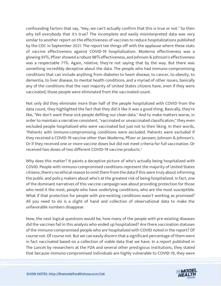confounding factors that say, "Hey, we can't actually confirm that this is true or not." So then why tell everybody that it's true? The incomplete and easily misinterpreted data was very similar to another report on the effectiveness of vaccines to reduce hospitalizations published by the CDC in September 2021. The report tee things off with the applause where these stats of vaccine effectiveness against COVID-19 hospitalization. Moderna effectiveness was a glowing 93%, Pfizer showed a robust 88% effectiveness, and Johnson & Johnson's effectiveness was a respectable 71%. Again, relative, they're not saying that by the way. But there was something incredibly deceptive about the data. The people who had immuno-compromising conditions that can include anything from diabetes to heart disease, to cancer, to obesity, to dementia, to liver disease, to mental health conditions, and a myriad of other issues, basically any of the conditions that the vast majority of United States citizens have, even if they were vaccinated, those people were eliminated from the vaccinated count.

Not only did they eliminate more than half of the people hospitalized with COVID from the data count, they highlighted the fact that they did it like it was a good thing. Basically, they're like, "We don't want these sick people defiling our clean data." And to make matters worse, in order to maintain a narrative consistent, "vaccinated or unvaccinated classification," they even excluded people hospitalized who were vaccinated but just not to their liking. In their words, "Patients with immuno-compromising conditions were excluded. Patients were excluded if they received a COVID-19 vaccine other than Moderna, Pfizer or Janssen; Johnson & Johnson's. Or if they received one or more vaccine doses but did not meet criteria for full vaccination. Or received two doses of two different COVID-19 vaccine products."

Why does this matter? It paints a deceptive picture of who's actually being hospitalized with COVID. People with immuno-compromised conditions represent the majority of United States citizens, there's no ethical reason to omit them from the data if this were truly about informing the public and policy makers about who's at the greatest risk of being hospitalized. In fact, one of the dominant narratives of this vaccine campaign was about providing protection for those who need it the most, people who have underlying conditions, who are the most susceptible. What if that protection for people with pre-existing conditions wasn't working as promised? All you need to do is a slight of hand and collection of observational data to make the unfavorable numbers disappear.

Now, the next logical questions would be, how many of the people with pre-existing diseases did the vaccines fail in this analysis who ended up hospitalized? Are there vaccination statuses of the immuno-compromised people who are hospitalized with COVID noted in the report? Of course not. Of course not. But we can easily discern that a significant percentage of them were in fact vaccinated based on a collection of viable data that we have. In a report published in The Lancet by researchers at the FDA and several other prestigious institutions, they stated that because immuno-compromised individuals are highly vulnerable to COVID-19, they were

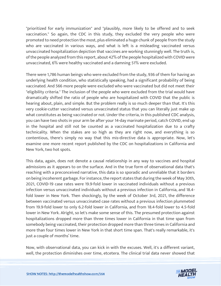"prioritized for early immunization" and "plausibly, more likely to be offered and to seek vaccination." So again, the CDC in this study, they excluded the very people who were promoted to need protection the most, plus eliminated a huge chunk of people from the study who are vaccinated in various ways, and what is left is a misleading vaccinated versus unvaccinated hospitalization depiction that vaccines are working stunningly well. The truth is, of the people analyzed from this report, about 42% of the people hospitalized with COVID were unvaccinated, 6% were healthy vaccinated and a damning 51% were excluded.

There were 1,786 human beings who were excluded from the study, 936 of them for having an underlying health condition, who statistically speaking, had a significant probability of being vaccinated. And 566 more people were excluded who were vaccinated but did not meet their "eligibility criteria." The inclusion of the people who were excluded from the trial would have dramatically shifted the ratio of people who are hospitalized with COVID that the public is hearing about, plain, and simple. But the problem really is so much deeper than that. It's this very cookie-cutter vaccinated versus unvaccinated status that you can literally just make up what constitutes as being vaccinated or not. Under the criteria, in this published CDC analysis, you can have two shots in your arm be after your 14-day marinate period, catch COVID, end up in the hospital and still not be counted as a vaccinated hospitalization due to a crafty technicality. When the stakes are so high as they are right now, and everything is so contentious, there's simply no way that this mis-directive data is appropriate. Now, let's examine one more recent report published by the CDC on hospitalizations in California and New York, two hot spots.

This data, again, does not denote a causal relationship in any way to vaccines and hospital admissions as it appears to on the surface. And in the true form of observational data that's reaching with a preconceived narrative, this data is so sporadic and unreliable that it borders on being incoherent garbage. For instance, the report states that during the week of May 30th, 2021, COVID-19 case rates were 19.9-fold lower in vaccinated individuals without a previous infection versus unvaccinated individuals without a previous infection in California, and 18.4 fold lower in New York. Then shockingly, by the week of October 3rd, 2021, the difference between vaccinated versus unvaccinated case rates without a previous infection plummeted from 19.9-fold lower to only 6.2-fold lower in California, and from 18.4-fold lower to 4.5-fold lower in New York. Alright, so let's make some sense of this. The presumed protection against hospitalizations dropped more than three times lower in California in that time span from somebody being vaccinated, their protection dropped more than three times in California and more than four times lower in New York in that short time span. That's really remarkable, it's just a couple of months' time.

Now, with observational data, you can kick in with the excuses. Well, it's a different variant, well, the protection diminishes over time, etcetera. The clinical trial data never showed that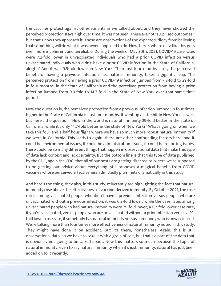the vaccines protect against other variants as we talked about, and they never showed the perceived protection stays high over time, it was not seen. These are not "surprised outcomes," but that's how they approach it. These are observations of the expected idiocy from believing that something will do what it was never supposed to do. Now, here's where data like this gets even more incoherent and unreliable. During the week of May 30th, 2021, COVID-19 case rates were 7.2-fold lower in unvaccinated individuals who had a prior COVID infection versus unvaccinated individuals who didn't have a prior COVID infection in the State of California, alright? And it was 9.9-fold lower in New York. Then just four months later, the perceived benefit of having a previous infection, I.e., natural immunity, takes a gigantic leap. The perceived protection from having a prior COVID-19 infection jumped from 7.2-fold to 29-fold in four months, in the State of California and the perceived protection from having a prior infection jumped from 9.9-fold to 14.7-fold in the State of New York over that same time period.

Now the question is, the perceived protection from a previous infection jumped up four times higher in the State of California in just four months. It went up a little bit in New York as well, but here's the question, "How in the world is natural immunity 29-fold better in the state of California, while it's only 14.7-fold better in the state of New York?" What's going on when we take this four-and-a-half-hour flight where we have so much more robust natural immunity if we were in California. This leads to again, there are other confounding factors here, and it could be environmental issues, it could be administration issues, it could be reporting issues, there could be so many different things that happen in observational data that make this type of data lack context and lack certainty. But the bottom line is that this type of data published by the CDC, again the CDC, that all of our posts are getting directed to, where we're supposed to be getting our advice about everything, still proposes a magical benefit from COVID vaccines whose perceived effectiveness admittedly plummets dramatically in this study.

And here's the thing, they also, in this study, reluctantly are highlighting the fact that natural immunity rose above the effectiveness of vaccine-derived immunity. By October 2021, the case rates among vaccinated people who didn't have a previous infection versus people who are unvaccinated without a previous infection, it was 6.2-fold lower, while the case rates among unvaccinated people who had natural immunity were 29-fold lower; a 6.2-fold lower case rate, if you're vaccinated, versus people who are unvaccinated without a prior infection versus a 29 fold lower case rate, if somebody has natural immunity versus somebody who is unvaccinated. We're talking more than four times more effectiveness of natural immunity noted in this study. They might have done it on accident, but it's there, nonetheless. Again, this is still observational data, so we have to take it with a grain of salt, but that's a part of the data that is obviously not going to be talked about. Now this matters so much because the topic of natural immunity, even to say natural immunity when it's just immunity, natural has just been added on to it recently.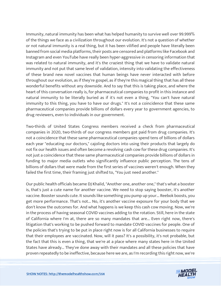Immunity, natural immunity has been what has helped humanity to survive well over 99.999% of the things we face as a civilization throughout our evolution. It's not a question of whether or not natural immunity is a real thing, but it has been vilified and people have literally been banned from social media platforms, their posts are censored and platforms like Facebook and Instagram and even YouTube have really been hyper-aggressive in censoring information that was related to natural immunity, and it's the craziest thing that we have to validate natural immunity and not put that same level of validation, intensity into validating the effectiveness of these brand new novel vaccines that human beings have never interacted with before throughout our evolution, as if they're gospel, as if they're this magical thing that has all these wonderful benefits without any downside. And to say that this is taking place, and where the heart of this conversation really is, for pharmaceutical companies to profit in this instance and natural immunity to be literally buried as if it's not even a thing, "You can't have natural immunity to this thing, you have to have our drugs." It's not a coincidence that these same pharmaceutical companies provide billions of dollars every year to government agencies, to drug reviewers, even to individuals in our government.

Two-thirds of United States Congress members received a check from pharmaceutical companies in 2020, two-thirds of our congress members got paid from drug companies. It's not a coincidence that these same pharmaceutical companies spend tens of billions of dollars each year "educating our doctors," cajoling doctors into using their products that largely do not fix our health issues and often become a revolving cash cow for these drug companies. It's not just a coincidence that these same pharmaceutical companies provide billions of dollars in funding to major media outlets who significantly influence public perception. The tens of billions of dollars that were made from the first series of vaccines weren't enough. When they failed the first time, their framing just shifted to, "You just need another."

Our public health officials became DJ Khalid, "Another one, another one," that's what a booster is, that's just a cute name for another vaccine. We need to stop saying booster, it's another vaccine. Booster sounds cute. It sounds like something you pump up your... Reebok boosts, you get more performance. That's not... No, it's another vaccine exposure for your body that we don't know the outcomes for. And what happens is we keep this cash cow moving. Now, we're in the process of having seasonal COVID vaccines adding to the rotation. Still, here in the state of California where I'm at, there are so many mandates that are... Even right now, there's litigation that's working to be pushed forward to mandate COVID vaccines for people. One of the policies that's trying to be put in place right now is for all California businesses to require that their employees are vaccinated. Now, will it pass? It's a possibility, it's not probable, but the fact that this is even a thing, that we're at a place where many states here in the United States have already... They've done away with their mandates and all these policies that have proven repeatedly to be ineffective, because here we are, as I'm recording this right now, we're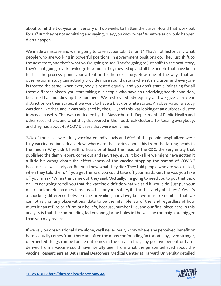about to hit the two-year anniversary of two weeks to flatten the curve. How'd that work out for us? But they're not admitting and saying, "Hey, you know what? What we said would happen didn't happen.

We made a mistake and we're going to take accountability for it." That's not historically what people who are working in powerful positions, in government positions do. They just shift to the next story, and that's what you're going to see. They're going to just shift to the next story, they're not going to acknowledge how much they messed up and all the people that have been hurt in the process, point your attention to the next story. Now, one of the ways that an observational study can actually provide more sound data is when it's a cluster and everyone is treated the same, when everybody is tested equally, and you don't start eliminating for all these different biases, you start taking out people who have an underlying health condition, because that muddies up the numbers. We test everybody equally and we give very clear distinction on their status, if we want to have a black or white status. An observational study was done like that, and it was published by the CDC, and this was looking at an outbreak cluster in Massachusetts. This was conducted by the Massachusetts Department of Public Health and other researchers, and what they discovered in their outbreak cluster after testing everybody, and they had about 469 COVID cases that were identified.

74% of the cases were fully vaccinated individuals and 80% of the people hospitalized were fully vaccinated individuals. Now, where are the stories about this from the talking heads in the media? Why didn't health officials or at least the head of the CDC, the very entity that published the damn report, come out and say, "Hey, guys, it looks like we might have gotten it a little bit wrong about the effectiveness of the vaccine stopping the spread of COVID," because this was early on. But you know what they did? They told people who are vaccinated, when they told them, "If you get the vax, you could take off your mask. Get the vax, you take off your mask." When this came out, they said, "Actually, I'm going to need you to put that back on. I'm not going to tell you that the vaccine didn't do what we said it would do, just put your mask back on. No, no questions, just... It's for your safety, it's for the safety of others." Yes, it's a shocking difference between the prevailing narrative, but we must remember that we cannot rely on any observational data to be the infallible law of the land regardless of how much it can refute or affirm our beliefs, because, number five, and our final piece here in this analysis is that the confounding factors and glaring holes in the vaccine campaign are bigger than you may realize.

If we rely on observational data alone, we'll never really know where any perceived benefit or harm actually comes from, there are often too many confounding factors at play, even strange, unexpected things can be fuddle outcomes in the data. In fact, any positive benefit or harm derived from a vaccine could have literally been from what the person believed about the vaccine. Researchers at Beth Israel Deaconess Medical Center at Harvard University detailed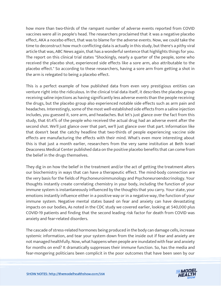how more than two-thirds of the rampant number of adverse events reported from COVID vaccines were all in people's head. The researchers proclaimed that it was a negative placebo effect, AKA a nocebo effect, that was to blame for the adverse events. Now, we could take the time to deconstruct how much conflicting data is actually in this study, but there's a pithy viral article that was, ABC News again, that has a wonderful sentence that highlights things for you. The report on this clinical trial states "Shockingly, nearly a quarter of the people, some who received the placebo shot, experienced side effects like a sore arm, also attributable to the placebo effect." So according to these researchers, having a sore arm from getting a shot in the arm is relegated to being a placebo effect.

This is a perfect example of how published data from even very prestigious entities can venture right into the ridiculous. In the clinical trial data itself, it describes the placebo group receiving saline injections as having significantly less adverse events than the people receiving the drugs, but the placebo group also experienced notable side effects such as arm pain and headaches. Interestingly, some of the most well-established side effects from a saline injection includes, you guessed it, sore arm, and headaches. But let's just glance over the fact from this study, that 61.4% of the people who received the actual drug had an adverse event after the second shot. We'll just glance over that part, we'll just glance over that part. Information like that doesn't beat the catchy headline that two-thirds of people experiencing vaccine side effects are manufacturing the effects with their mind. What's even more interesting about this is that just a month earlier, researchers from the very same institution at Beth Israel Deaconess Medical Center published data on the positive placebo benefits that can come from the belief in the drugs themselves.

They dig in on how the belief in the treatment and/or the act of getting the treatment alters our biochemistry in ways that can have a therapeutic effect. The mind-body connection are the very basis for the fields of Psychoneuroimmunology and Psychoneuroendocrinology. Your thoughts instantly create correlating chemistry in your body, including the function of your immune system is instantaneously influenced by the thoughts that you carry. Your state, your emotions instantly influence either in a positive way or in a negative way, the function of your immune system. Negative mental states based on fear and anxiety can have devastating impacts on our bodies, As noted in the CDC study we covered earlier, looking at 540,000 plus COVID-19 patients and finding that the second leading risk factor for death from COVID was anxiety and fear-related disorders.

The cascade of stress-related hormones being produced in the body can damage cells, increase systemic information, and tear your system down from the inside out if fear and anxiety are not managed healthfully. Now, what happens when people are inundated with fear and anxiety for months on end? It dramatically suppresses their immune function. So, has the media and fear-mongering politicians been complicit in the poor outcomes that have been seen by our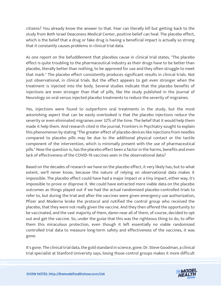citizens? You already know the answer to that. Fear can literally kill but getting back to the study from Beth Israel Deaconess Medical Center, positive belief can heal. The placebo effect, which is the belief that a drug or fake drug is having a beneficial impact is actually so strong that it constantly causes problems in clinical trial data.

As one report on the befuddlement that placebos cause in clinical trial states, "The placebo effect is quite troubling to the pharmaceutical industry as their drugs have to be better than placebo, literally better than nothing, to be approved for use and they often struggle to meet that mark." The placebo effect consistently produces significant results in clinical trials. Not just observational, in clinical trials. But the effect appears to get even stronger when the treatment is injected into the body. Several studies indicate that the placebo benefits of injections are even stronger than that of pills, like the study published in the Journal of Neurology on oral versus injected placebo treatments to reduce the severity of migraines.

Yes, injections were found to outperform oral treatments in the study, but the most astonishing aspect that can be easily overlooked is that the placebo injections reduce the severity or even eliminated migraines over 32% of the time. The belief that it would help them made it help them. And research cited in the journal, Frontiers in Psychiatry sought to explain this phenomenon by stating "The greater effect of placebo devices like injections from needles compared to placebo pills may be due to the additional physical contact or the tactile component of the intervention, which is minimally present with the use of pharmaceutical pills." Now the question is, has the placebo effect been a factor in the harms, benefits and even lack of effectiveness of the COVID-19 vaccines seen in the observational data?

Based on the decades of research we have on the placebo effect, it very likely has, but to what extent, we'll never know, because the nature of relying on observational data makes it impossible. The placebo effect could have had a major impact or a tiny impact, either way, it's impossible to prove or disprove it. We could have extracted more viable data on the placebo outcomes as things played out if we had the actual randomized placebo-controlled trials to refer to, but during the trial and after the vaccines were given emergency use authorization, Pfizer and Moderna broke the protocol and notified the control group who received the placebo, that they were not really given the vaccine. And they then offered the opportunity to be vaccinated, and the vast majority of them, damn near all of them, of course, decided to opt out and get the vaccine. So, under the guise that this was the righteous thing to do, to offer them this miraculous protection, even though it left essentially no viable randomized controlled trial data to measure long-term safety and effectiveness of the vaccines, it was gone.

It's gone. The clinical trial data, the gold standard in science, gone. Dr. Steve Goodman, a clinical trial specialist at Stanford University says, losing those control groups makes it more difficult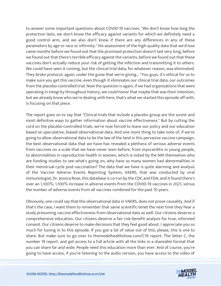to answer some important questions about COVID-19 vaccines. "We don't know how long the protection lasts, we don't know the efficacy against variants for which we definitely need a good control arm, and we also don't know if there are any differences in any of these parameters by age or race or infirmity." His assessment of the high-quality data that we'd lose came months before we found out that the promised protection doesn't last very long, before we found out that there's terrible efficacy against the variants, before we found out that these vaccines don't actually reduce your risk of getting the infection and transmitting it to others. We could have seen it coming, but the clinical trial data, for whatever reason, was eliminated. They broke protocol, again, under the guise that we're giving... "You guys, it's ethical for us to make sure you get this vaccine, even though it eliminates our clinical trial data, our outcomes from the placebo-controlled trial. Now the question is again, if we had organizations that were operating in integrity throughout history, we could honor that maybe that was their intention, but we already know who we're dealing with here, that's what we started this episode off with, is focusing on that piece.

The report goes on to say that "Clinical trials that include a placebo group are the surest and most definitive ways to gather information about vaccine effectiveness." But by cutting the cord on the placebo-controlled trials, we're now forced to leave our policy and our education based on speculative, biased observational data. And one more thing to take note of, if we're going to allow observational data to be the law of the land in this pervasive vaccine campaign, the best observational data that we have has revealed a plethora of serious adverse events from vaccines on a scale that we have never seen before, from myocarditis in young people, to abnormalities in reproductive health in women, which is noted by the NIH themselves who are funding studies to see what's going on, why have so many women had abnormalities in their menstrual cycle post-vaccination? The data that we have is quite alarming and analysis of the Vaccine Adverse Events Reporting System, VAERS, that was conducted by viral immunologist, Dr. Jessica Rose, this database is co-run by the CDC and FDA, and it found there's over an 1,100%, 1,100% increase in adverse events from the COVID-19 vaccines in 2021, versus the number of adverse events from all vaccines combined for the past 10 years.

Obviously, one could say that the observational data in VAERS, does not prove causality. And if that's the case, I want them to remember that same scientific tenet the next time they hear a study presuming vaccine effectiveness from observational data as well. Our citizens deserve a comprehensive education. Our citizens deserve a fair risk-benefit analysis for true, informed consent. Our citizens deserve to make decisions that they feel good about. I appreciate you so much for tuning in to this episode. If you got a lot of value out of this, please, this is one to share. But make sure to go over to themodelhealthshow.com/C19 report. The letter C, the number 19 report, and get access to a full article with all the links in a shareable format that you can share far and wide. People need this education more than ever. And of course, you're going to have access, if you're listening to the audio version, you have access to the video of